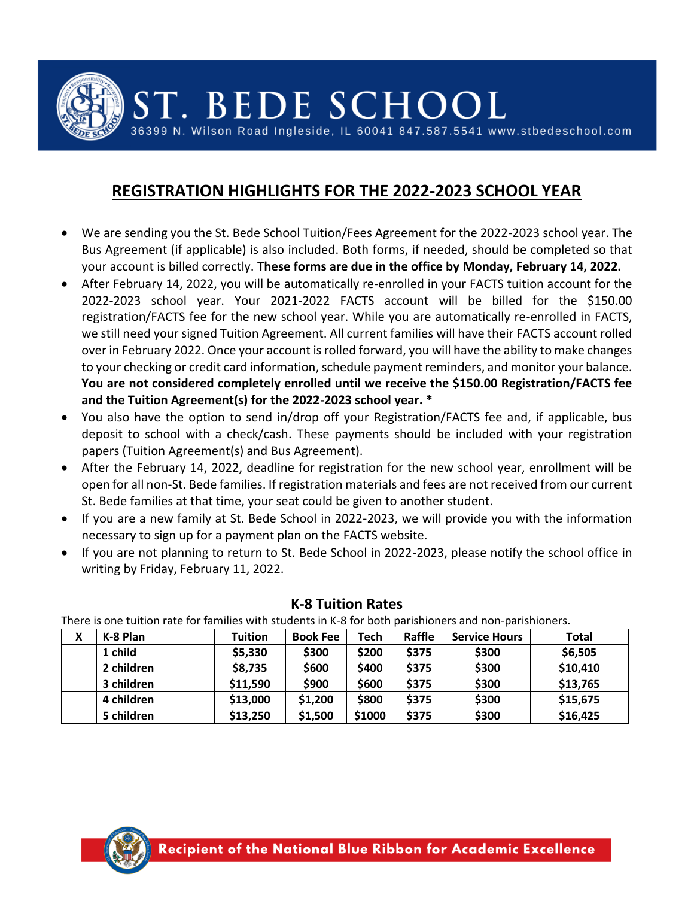ST. BEDE SCHOOL

36399 N. Wilson Road Ingleside, IL 60041 847.587.5541 www.stbedeschool.com

# **REGISTRATION HIGHLIGHTS FOR THE 2022-2023 SCHOOL YEAR**

- We are sending you the St. Bede School Tuition/Fees Agreement for the 2022-2023 school year. The Bus Agreement (if applicable) is also included. Both forms, if needed, should be completed so that your account is billed correctly. **These forms are due in the office by Monday, February 14, 2022.**
- After February 14, 2022, you will be automatically re-enrolled in your FACTS tuition account for the 2022-2023 school year. Your 2021-2022 FACTS account will be billed for the \$150.00 registration/FACTS fee for the new school year. While you are automatically re-enrolled in FACTS, we still need your signed Tuition Agreement. All current families will have their FACTS account rolled over in February 2022. Once your account is rolled forward, you will have the ability to make changes to your checking or credit card information, schedule payment reminders, and monitor your balance. **You are not considered completely enrolled until we receive the \$150.00 Registration/FACTS fee and the Tuition Agreement(s) for the 2022-2023 school year. \***
- You also have the option to send in/drop off your Registration/FACTS fee and, if applicable, bus deposit to school with a check/cash. These payments should be included with your registration papers (Tuition Agreement(s) and Bus Agreement).
- After the February 14, 2022, deadline for registration for the new school year, enrollment will be open for all non-St. Bede families. If registration materials and fees are not received from our current St. Bede families at that time, your seat could be given to another student.
- If you are a new family at St. Bede School in 2022-2023, we will provide you with the information necessary to sign up for a payment plan on the FACTS website.
- If you are not planning to return to St. Bede School in 2022-2023, please notify the school office in writing by Friday, February 11, 2022.

| There is one tuition rate for families with students in K-8 for both parishioners and non-parishioners. |            |                |                 |        |        |                      |          |  |
|---------------------------------------------------------------------------------------------------------|------------|----------------|-----------------|--------|--------|----------------------|----------|--|
| X                                                                                                       | K-8 Plan   | <b>Tuition</b> | <b>Book Fee</b> | Tech   | Raffle | <b>Service Hours</b> | Total    |  |
|                                                                                                         | 1 child    | \$5,330        | \$300           | \$200  | \$375  | \$300                | \$6,505  |  |
|                                                                                                         | 2 children | \$8,735        | \$600           | \$400  | \$375  | \$300                | \$10,410 |  |
|                                                                                                         | 3 children | \$11,590       | \$900           | \$600  | \$375  | \$300                | \$13,765 |  |
|                                                                                                         | 4 children | \$13,000       | \$1,200         | \$800  | \$375  | \$300                | \$15,675 |  |
|                                                                                                         | 5 children | \$13,250       | \$1,500         | \$1000 | \$375  | \$300                | \$16,425 |  |

#### **K-8 Tuition Rates**

 $T_{\text{max}}$  is it of  $\epsilon$  is tuitive to family in the form parishioners and non-parishioners.

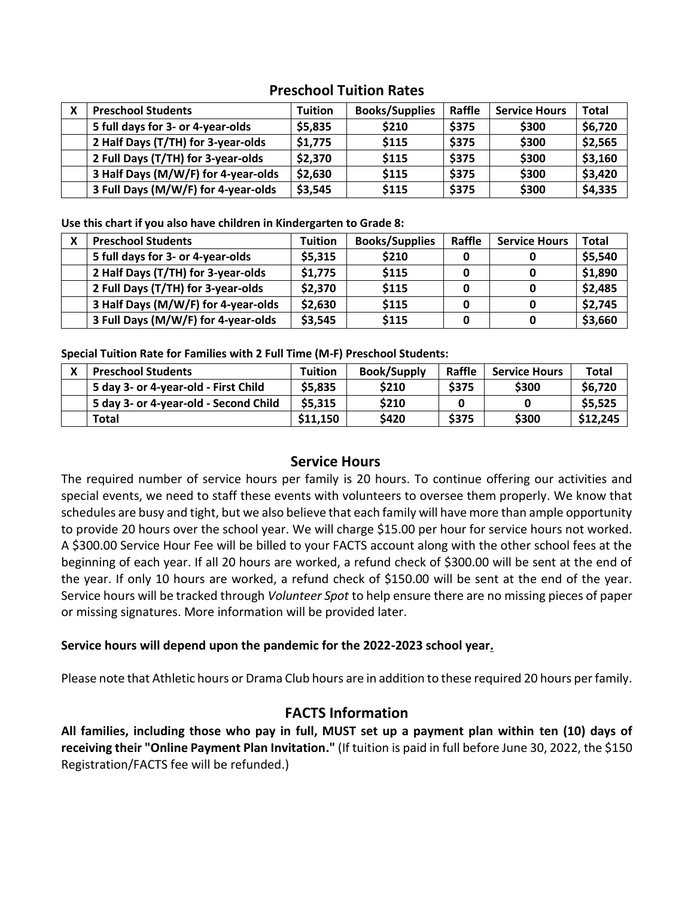# **Preschool Tuition Rates**

| <b>Preschool Students</b>           | <b>Tuition</b> | <b>Books/Supplies</b> | Raffle | <b>Service Hours</b> | <b>Total</b> |
|-------------------------------------|----------------|-----------------------|--------|----------------------|--------------|
| 5 full days for 3- or 4-year-olds   | \$5,835        | \$210                 | \$375  | \$300                | \$6,720      |
| 2 Half Days (T/TH) for 3-year-olds  | \$1,775        | \$115                 | \$375  | \$300                | \$2,565      |
| 2 Full Days (T/TH) for 3-year-olds  | \$2,370        | \$115                 | \$375  | \$300                | \$3,160      |
| 3 Half Days (M/W/F) for 4-year-olds | \$2,630        | \$115                 | \$375  | \$300                | \$3,420      |
| 3 Full Days (M/W/F) for 4-year-olds | \$3,545        | \$115                 | \$375  | \$300                | \$4,335      |

**Use this chart if you also have children in Kindergarten to Grade 8:**

| <b>Preschool Students</b>           | <b>Tuition</b> | <b>Books/Supplies</b> | Raffle | <b>Service Hours</b> | <b>Total</b> |
|-------------------------------------|----------------|-----------------------|--------|----------------------|--------------|
| 5 full days for 3- or 4-year-olds   | \$5,315        | \$210                 |        |                      | \$5,540      |
| 2 Half Days (T/TH) for 3-year-olds  | \$1,775        | \$115                 |        |                      | \$1,890      |
| 2 Full Days (T/TH) for 3-year-olds  | \$2,370        | \$115                 |        |                      | \$2,485      |
| 3 Half Days (M/W/F) for 4-year-olds | \$2,630        | \$115                 |        |                      | \$2,745      |
| 3 Full Days (M/W/F) for 4-year-olds | \$3,545        | \$115                 |        |                      | \$3,660      |

**Special Tuition Rate for Families with 2 Full Time (M-F) Preschool Students:**

| <b>Preschool Students</b>             | <b>Tuition</b> | <b>Book/Supply</b> | Raffle | <b>Service Hours</b> | <b>Total</b> |
|---------------------------------------|----------------|--------------------|--------|----------------------|--------------|
| 5 day 3- or 4-year-old - First Child  | \$5,835        | \$210              | \$375  | \$300                | \$6,720      |
| 5 day 3- or 4-year-old - Second Child | \$5,315        | \$210              |        |                      | \$5,525      |
| Total                                 | \$11,150       | \$420              | \$375  | \$300                | \$12,245     |

#### **Service Hours**

The required number of service hours per family is 20 hours. To continue offering our activities and special events, we need to staff these events with volunteers to oversee them properly. We know that schedules are busy and tight, but we also believe that each family will have more than ample opportunity to provide 20 hours over the school year. We will charge \$15.00 per hour for service hours not worked. A \$300.00 Service Hour Fee will be billed to your FACTS account along with the other school fees at the beginning of each year. If all 20 hours are worked, a refund check of \$300.00 will be sent at the end of the year. If only 10 hours are worked, a refund check of \$150.00 will be sent at the end of the year. Service hours will be tracked through *Volunteer Spot* to help ensure there are no missing pieces of paper or missing signatures. More information will be provided later.

#### **Service hours will depend upon the pandemic for the 2022-2023 school year.**

Please note that Athletic hours or Drama Club hours are in addition to these required 20 hours per family.

# **FACTS Information**

**All families, including those who pay in full, MUST set up a payment plan within ten (10) days of receiving their "Online Payment Plan Invitation."** (If tuition is paid in full before June 30, 2022, the \$150 Registration/FACTS fee will be refunded.)